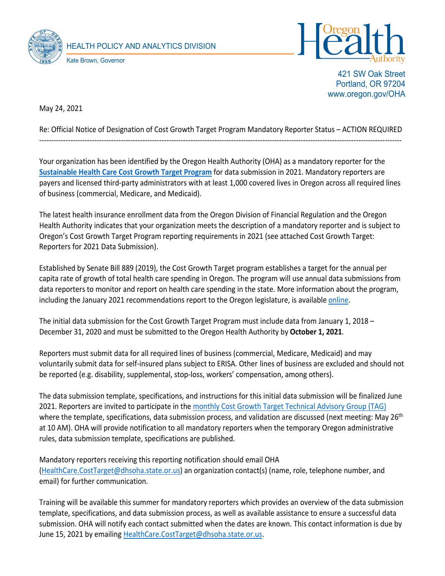



421 SW Oak Street Portland, OR 97204 www.oregon.gov/OHA

May 24, 2021

## Re: Official Notice of Designation of Cost Growth Target Program Mandatory Reporter Status – ACTION REQUIRED -------------------------------------------------------------------------------------------------------------------------------------------------------

Your organization has been identified by the Oregon Health Authority (OHA) as a mandatory reporter for the **[Sustainable Health Care Cost Growth Target](https://www.oregon.gov/oha/HPA/HP/Pages/Sustainable-Health-Care-Cost-Growth-Target.aspx) Program** for data submission in 2021. Mandatory reporters are payers and licensed third-party administrators with at least 1,000 covered lives in Oregon across all required lines of business (commercial, Medicare, and Medicaid).

The latest health insurance enrollment data from the Oregon Division of Financial Regulation and the Oregon Health Authority indicates that your organization meets the description of a mandatory reporter and is subject to Oregon's Cost Growth Target Program reporting requirements in 2021 (see attached Cost Growth Target: Reporters for 2021 Data Submission).

Established by Senate Bill 889 (2019), the Cost Growth Target program establishes a target for the annual per capita rate of growth of total health care spending in Oregon. The program will use annual data submissions from data reporters to monitor and report on health care spending in the state. More information about the program, including the January 2021 recommendations report to the Oregon legislature, is available [online.](https://www.oregon.gov/oha/HPA/HP/Pages/Sustainable-Health-Care-Cost-Growth-Target.aspx)

The initial data submission for the Cost Growth Target Program must include data from January 1, 2018 – December 31, 2020 and must be submitted to the Oregon Health Authority by **October 1, 2021**.

Reporters must submit data for all required lines of business (commercial, Medicare, Medicaid) and may voluntarily submit data for self-insured plans subject to ERISA. Other lines of business are excluded and should not be reported (e.g. disability, supplemental, stop-loss, workers' compensation, among others).

The data submission template, specifications, and instructions for this initial data submission will be finalized June 2021. Reporters are invited to participate in the monthly [Cost Growth Target Technical Advisory](https://www.oregon.gov/oha/HPA/HP/Pages/cost-growth-target-tag.aspx) Group (TAG) where the template, specifications, data submission process, and validation are discussed (next meeting: May 26<sup>th</sup>) at 10 AM). OHA will provide notification to all mandatory reporters when the temporary Oregon administrative rules, data submission template, specifications are published.

Mandatory reporters receiving this reporting notification should email OHA [\(HealthCare.CostTarget@dhsoha.state.or.us\)](mailto:HealthCare.CostTarget@dhsoha.state.or.us) an organization contact(s) (name, role, telephone number, and email) for further communication.

Training will be available this summer for mandatory reporters which provides an overview of the data submission template, specifications, and data submission process, as well as available assistance to ensure a successful data submission. OHA will notify each contact submitted when the dates are known. This contact information is due by June 15, 2021 by emailing [HealthCare.CostTarget@dhsoha.state.or.us.](mailto:HealthCare.CostTarget@dhsoha.state.or.us)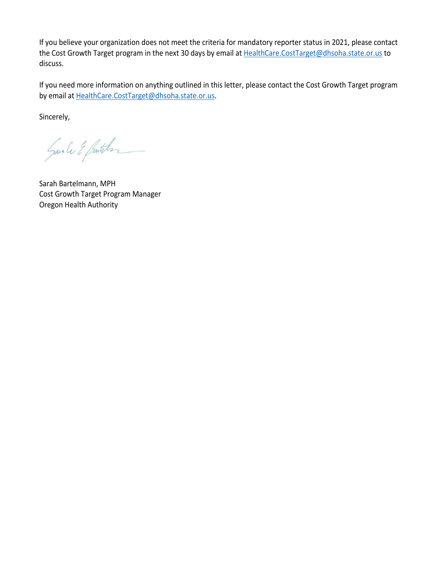If you believe your organization does not meet the criteria for mandatory reporter status in 2021, please contact the Cost Growth Target program in the next 30 days by email at [HealthCare.CostTarget@dhsoha.state.or.us](mailto:HealthCare.CostTarget@dhsoha.state.or.us) to discuss.

If you need more information on anything outlined in this letter, please contact the Cost Growth Target program by email at [HealthCare.CostTarget@dhsoha.state.or.us.](mailto:HealthCare.CostTarget@dhsoha.state.or.us)

Sincerely,

Sanale & Benther

Sarah Bartelmann, MPH Cost Growth Target Program Manager Oregon Health Authority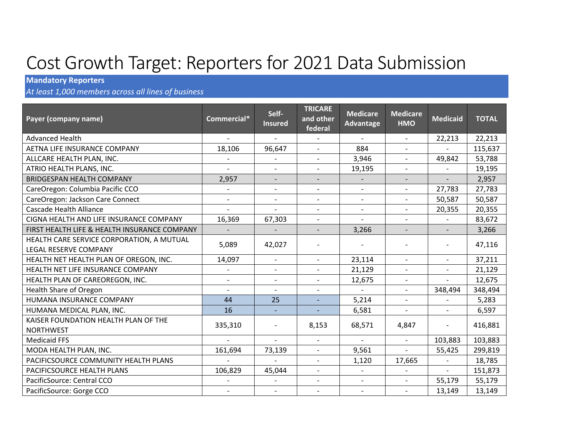## Cost Growth Target: Reporters for 2021 Data Submission

## **Mandatory Reporters**

*At least 1,000 members across all lines of business*

| Payer (company name)                                               | Commercial*              | Self-<br><b>Insured</b>  | <b>TRICARE</b><br>and other<br>federal | <b>Medicare</b><br>Advantage | <b>Medicare</b><br><b>HMO</b> | <b>Medicaid</b>          | <b>TOTAL</b> |
|--------------------------------------------------------------------|--------------------------|--------------------------|----------------------------------------|------------------------------|-------------------------------|--------------------------|--------------|
| <b>Advanced Health</b>                                             |                          | $\overline{\phantom{a}}$ |                                        | $\blacksquare$               | $\blacksquare$                | 22,213                   | 22,213       |
| AETNA LIFE INSURANCE COMPANY                                       | 18,106                   | 96,647                   | $\overline{a}$                         | 884                          | $\blacksquare$                |                          | 115,637      |
| ALLCARE HEALTH PLAN, INC.                                          |                          | $\blacksquare$           | $\overline{a}$                         | 3,946                        | $\blacksquare$                | 49,842                   | 53,788       |
| ATRIO HEALTH PLANS, INC.                                           | $\overline{\phantom{a}}$ | $\overline{\phantom{a}}$ | $\qquad \qquad -$                      | 19,195                       | $\overline{\phantom{a}}$      |                          | 19,195       |
| <b>BRIDGESPAN HEALTH COMPANY</b>                                   | 2,957                    | $\overline{\phantom{0}}$ | $\overline{\phantom{a}}$               |                              | $\qquad \qquad \blacksquare$  |                          | 2,957        |
| CareOregon: Columbia Pacific CCO                                   |                          | $\overline{\phantom{0}}$ | $\overline{a}$                         | $\overline{\phantom{a}}$     | $\overline{\phantom{a}}$      | 27,783                   | 27,783       |
| CareOregon: Jackson Care Connect                                   | $\overline{\phantom{a}}$ | $\overline{\phantom{a}}$ | $\overline{\phantom{m}}$               | $\overline{\phantom{a}}$     | $\overline{\phantom{a}}$      | 50,587                   | 50,587       |
| <b>Cascade Health Alliance</b>                                     |                          |                          | $\overline{\phantom{a}}$               |                              | $\overline{\phantom{a}}$      | 20,355                   | 20,355       |
| CIGNA HEALTH AND LIFE INSURANCE COMPANY                            | 16,369                   | 67,303                   | $\overline{\phantom{m}}$               | $\blacksquare$               | $\overline{\phantom{a}}$      |                          | 83,672       |
| FIRST HEALTH LIFE & HEALTH INSURANCE COMPANY                       |                          |                          |                                        | 3,266                        |                               |                          | 3,266        |
| HEALTH CARE SERVICE CORPORATION, A MUTUAL<br>LEGAL RESERVE COMPANY | 5,089                    | 42,027                   |                                        |                              |                               |                          | 47,116       |
| HEALTH NET HEALTH PLAN OF OREGON, INC.                             | 14,097                   | $\blacksquare$           | $\blacksquare$                         | 23,114                       | $\blacksquare$                | $\blacksquare$           | 37,211       |
| HEALTH NET LIFE INSURANCE COMPANY                                  |                          | $\overline{\phantom{a}}$ | $\overline{\phantom{a}}$               | 21,129                       | $\overline{\phantom{a}}$      | $\overline{a}$           | 21,129       |
| HEALTH PLAN OF CAREOREGON, INC.                                    |                          |                          | $\overline{a}$                         | 12,675                       | $\overline{\phantom{a}}$      |                          | 12,675       |
| Health Share of Oregon                                             | $\overline{\phantom{a}}$ | $\overline{a}$           |                                        | $\blacksquare$               | $\blacksquare$                | 348,494                  | 348,494      |
| HUMANA INSURANCE COMPANY                                           | 44                       | 25                       |                                        | 5,214                        | $\qquad \qquad \blacksquare$  |                          | 5,283        |
| HUMANA MEDICAL PLAN, INC.                                          | 16                       |                          | $\overline{\phantom{a}}$               | 6,581                        | $\overline{\phantom{0}}$      | $\overline{\phantom{a}}$ | 6,597        |
| KAISER FOUNDATION HEALTH PLAN OF THE                               | 335,310                  | $\overline{\phantom{0}}$ | 8,153                                  | 68,571                       | 4,847                         | $\overline{a}$           | 416,881      |
| <b>NORTHWEST</b>                                                   |                          |                          |                                        |                              |                               |                          |              |
| <b>Medicaid FFS</b>                                                | $\sim$                   | $\blacksquare$           | $\overline{\phantom{a}}$               | $\blacksquare$               | $\overline{\phantom{a}}$      | 103,883                  | 103,883      |
| MODA HEALTH PLAN, INC.                                             | 161,694                  | 73,139                   | $\overline{a}$                         | 9,561                        |                               | 55,425                   | 299,819      |
| PACIFICSOURCE COMMUNITY HEALTH PLANS                               |                          |                          | $\overline{\phantom{a}}$               | 1,120                        | 17,665                        | $\overline{a}$           | 18,785       |
| PACIFICSOURCE HEALTH PLANS                                         | 106,829                  | 45,044                   | $\overline{\phantom{a}}$               |                              | $\overline{a}$                |                          | 151,873      |
| PacificSource: Central CCO                                         |                          | $\overline{\phantom{0}}$ | $\overline{a}$                         | $\blacksquare$               | $\blacksquare$                | 55,179                   | 55,179       |
| PacificSource: Gorge CCO                                           | $\overline{\phantom{a}}$ | $\overline{\phantom{a}}$ | $\overline{\phantom{m}}$               | $\overline{\phantom{a}}$     | $\overline{\phantom{m}}$      | 13,149                   | 13,149       |